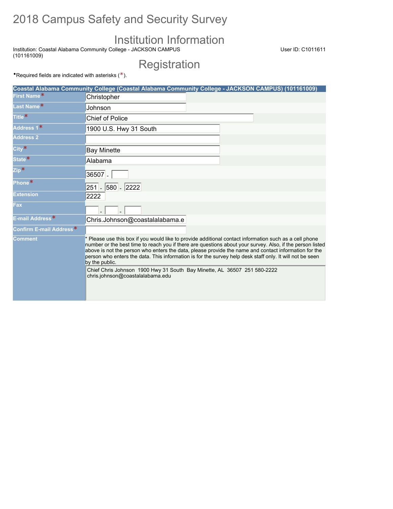# 2018 Campus Safety and Security Survey

# Institution Information

Institution: Coastal Alabama Community College - JACKSON CAMPUS (101161009)

User ID: C1011611

**Registration** 

•Required fields are indicated with asterisks  $(*).$ 

|                                     | Coastal Alabama Community College (Coastal Alabama Community College - JACKSON CAMPUS) (101161009)                                                                                                                                                                                                                                                                                                                                                        |
|-------------------------------------|-----------------------------------------------------------------------------------------------------------------------------------------------------------------------------------------------------------------------------------------------------------------------------------------------------------------------------------------------------------------------------------------------------------------------------------------------------------|
| First Name*                         | Christopher                                                                                                                                                                                                                                                                                                                                                                                                                                               |
| Last Name*                          | Johnson                                                                                                                                                                                                                                                                                                                                                                                                                                                   |
| Title <sup>*</sup>                  | <b>Chief of Police</b>                                                                                                                                                                                                                                                                                                                                                                                                                                    |
| Address 1*                          | 1900 U.S. Hwy 31 South                                                                                                                                                                                                                                                                                                                                                                                                                                    |
| <b>Address 2</b>                    |                                                                                                                                                                                                                                                                                                                                                                                                                                                           |
| $City*$                             | <b>Bay Minette</b>                                                                                                                                                                                                                                                                                                                                                                                                                                        |
| State*                              | Alabama                                                                                                                                                                                                                                                                                                                                                                                                                                                   |
| $\mathsf{Zip*}$                     | $36507 -$                                                                                                                                                                                                                                                                                                                                                                                                                                                 |
| Phone*                              | 251 - 580 - 2222                                                                                                                                                                                                                                                                                                                                                                                                                                          |
| <b>Extension</b>                    | 2222                                                                                                                                                                                                                                                                                                                                                                                                                                                      |
| Fax                                 |                                                                                                                                                                                                                                                                                                                                                                                                                                                           |
| E-mail Address <sup>*</sup>         | Chris.Johnson@coastalalabama.e                                                                                                                                                                                                                                                                                                                                                                                                                            |
| Confirm E-mail Address <sup>*</sup> |                                                                                                                                                                                                                                                                                                                                                                                                                                                           |
| <b>Comment</b>                      | * Please use this box if you would like to provide additional contact information such as a cell phone<br>number or the best time to reach you if there are questions about your survey. Also, if the person listed<br>above is not the person who enters the data, please provide the name and contact information for the<br>person who enters the data. This information is for the survey help desk staff only. It will not be seen<br>by the public. |
|                                     | Chief Chris Johnson 1900 Hwy 31 South Bay Minette, AL 36507 251 580-2222<br>chris.johnson@coastalalabama.edu                                                                                                                                                                                                                                                                                                                                              |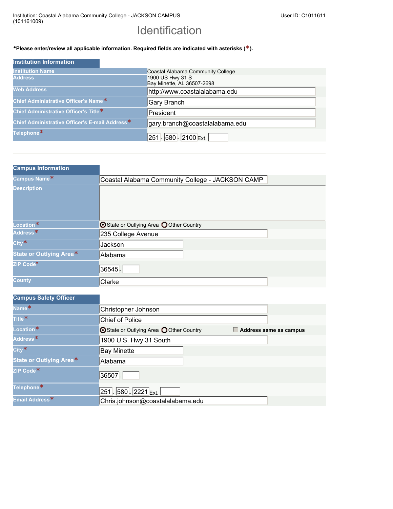## Identification

### •**Please enter/review all applicable information. Required fields are indicated with asterisks (\*).**

| <b>Institution Information</b>                 |                                   |
|------------------------------------------------|-----------------------------------|
| <b>Institution Name</b>                        | Coastal Alabama Community College |
| <b>Address</b>                                 | 1900 US Hwy 31 S                  |
|                                                | Bay Minette, AL 36507-2698        |
| <b>Web Address</b>                             | http://www.coastalalabama.edu     |
| Chief Administrative Officer's Name*           | <b>Gary Branch</b>                |
| Chief Administrative Officer's Title*          | President                         |
| Chief Administrative Officer's E-mail Address* | gary.branch@coastalalabama.edu    |
| Telephone*                                     | $ 251 $ - 580 - 2100 Ext.         |

| <b>Campus Information</b> |                                                  |
|---------------------------|--------------------------------------------------|
| Campus Name*              | Coastal Alabama Community College - JACKSON CAMP |
| <b>Description</b>        |                                                  |
| Location*                 | State or Outlying Area OOther Country            |
| Address <sup>*</sup>      | 235 College Avenue                               |
| City <sup>*</sup>         | Jackson                                          |
| State or Outlying Area*   | Alabama                                          |
| ZIP Code*                 | 36545.                                           |
| <b>County</b>             | Clarke                                           |

| <b>Campus Safety Officer</b> |                                          |                        |
|------------------------------|------------------------------------------|------------------------|
| Name*                        | Christopher Johnson                      |                        |
| Title <sup>*</sup>           | <b>Chief of Police</b>                   |                        |
| Location <sup>*</sup>        | ⊙ State or Outlying Area ○ Other Country | Address same as campus |
| Address <sup>*</sup>         | 1900 U.S. Hwy 31 South                   |                        |
| City <sup>*</sup>            | <b>Bay Minette</b>                       |                        |
| State or Outlying Area*      | Alabama                                  |                        |
| ZIP Code <sup>*</sup>        | 36507.                                   |                        |
| Telephone*                   | 251 - 580 - 2221 Ext.                    |                        |
| Email Address*               | Chris.johnson@coastalalabama.edu         |                        |